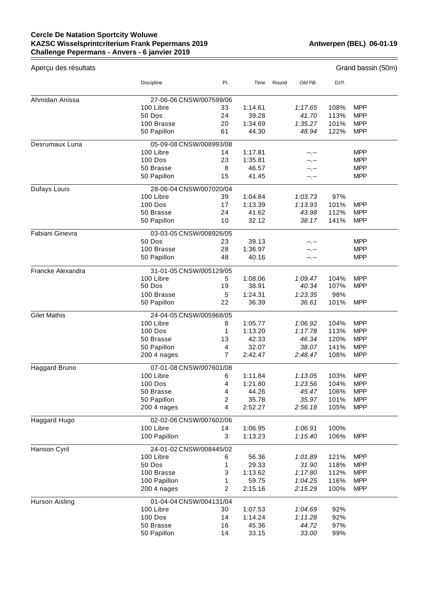## **Cercle De Natation Sportcity Woluwe KAZSC Wisselsprintcriterium Frank Pepermans 2019 Challenge Pepermans - Anvers - 6 janvier 2019**

| Aperçu des résultats |                                                              |         |                    |       |                    |              | Grand bassin (50m)       |
|----------------------|--------------------------------------------------------------|---------|--------------------|-------|--------------------|--------------|--------------------------|
|                      | Discipline                                                   | PI.     | Time               | Round | Old PB.            | Diff.        |                          |
| Ahmidan Anissa       | 27-06-06 CNSW/007599/06                                      |         |                    |       |                    |              |                          |
|                      | 100 Libre                                                    | 33      | 1:14.61            |       | 1:17.65            | 108%         | <b>MPP</b>               |
|                      | 50 Dos                                                       | 24      | 39.28              |       | 41.70              | 113%         | <b>MPP</b>               |
|                      | 100 Brasse                                                   | 20      | 1:34.69            |       | 1:35.27            | 101%         | <b>MPP</b>               |
|                      | 50 Papillon                                                  | 61      | 44.30              |       | 48.94              | 122%         | <b>MPP</b>               |
| Desrumaux Luna       | 05-09-08 CNSW/008993/08                                      |         |                    |       |                    |              |                          |
|                      | 100 Libre                                                    | 14      | 1:17.81            |       |                    |              | <b>MPP</b>               |
|                      | 100 Dos                                                      | 23      | 1:35.81            |       |                    |              | <b>MPP</b>               |
|                      | 50 Brasse                                                    | 8       | 46.57              |       | --.--              |              | <b>MPP</b>               |
|                      | 50 Papillon                                                  | 15      | 41.45              |       | --.--              |              | <b>MPP</b>               |
| Dufays Louis         | 28-06-04 CNSW/007020/04                                      |         |                    |       |                    |              |                          |
|                      | 100 Libre                                                    | 39      | 1:04.84            |       | 1:03.73            | 97%          |                          |
|                      | <b>100 Dos</b>                                               | 17      | 1:13.39            |       | 1:13.93            | 101%         | <b>MPP</b>               |
|                      | 50 Brasse                                                    | 24      | 41.62              |       | 43.98              | 112%         | <b>MPP</b>               |
|                      | 50 Papillon                                                  | 10      | 32.12              |       | 38.17              | 141%         | <b>MPP</b>               |
| Fabiani Ginevra      | 03-03-05 CNSW/008926/05                                      |         |                    |       |                    |              |                          |
|                      | 50 Dos                                                       | 23      | 39.13              |       | --.--              |              | <b>MPP</b>               |
|                      | 100 Brasse                                                   | 28      | 1:36.97            |       | --.--              |              | <b>MPP</b>               |
|                      | 50 Papillon                                                  | 48      | 40.16              |       | --.--              |              | <b>MPP</b>               |
| Francke Alexandra    | 31-01-05 CNSW/005129/05                                      |         |                    |       |                    |              |                          |
|                      | 100 Libre                                                    | 5       | 1:08.06            |       | 1:09.47            | 104%         | <b>MPP</b>               |
|                      | 50 Dos                                                       | 19      | 38.91              |       | 40.34              | 107%         | <b>MPP</b>               |
|                      | 100 Brasse                                                   | 5       | 1:24.31            |       | 1:23.35            | 98%          |                          |
|                      | 50 Papillon                                                  | 22      | 36.39              |       | 36.61              | 101%         | <b>MPP</b>               |
| <b>Gilet Mathis</b>  | 24-04-05 CNSW/005968/05                                      |         |                    |       |                    |              |                          |
|                      | 100 Libre                                                    | 8       | 1:05.77            |       | 1:06.92            | 104%         | <b>MPP</b>               |
|                      | 100 Dos                                                      | 1       | 1:13.20            |       | 1:17.78            | 113%         | <b>MPP</b>               |
|                      | 50 Brasse                                                    | 13      | 42.33              |       | 46.34              | 120%         | <b>MPP</b>               |
|                      | 50 Papillon                                                  | 4       | 32.07              |       | 38.07              | 141%         | <b>MPP</b>               |
|                      | 200 4 nages                                                  | 7       | 2:42.47            |       | 2:48.47            | 108%         | <b>MPP</b>               |
| Haggard Bruno        | 07-01-08 CNSW/007601/08                                      |         |                    |       |                    |              |                          |
|                      | 100 Libre                                                    | 6       | 1:11.84            |       | 1:13.05            | 103%         | <b>MPP</b>               |
|                      | 100 Dos                                                      | 4       | 1:21.80            |       | 1:23.56            | 104%         | <b>MPP</b>               |
|                      | 50 Brasse                                                    | 4       | 44.26              |       | 45.47              | 106%         | <b>MPP</b>               |
|                      | 50 Papillon<br>200 4 nages                                   | 2<br>4  | 35.78<br>2:52.27   |       | 35.97<br>2:56.18   | 101%<br>105% | <b>MPP</b><br><b>MPP</b> |
|                      |                                                              |         |                    |       |                    |              |                          |
| Haggard Hugo         | 02-02-06 CNSW/007602/06                                      |         |                    |       |                    |              |                          |
|                      | 100 Libre<br>100 Papillon                                    | 14<br>3 | 1:06.95<br>1:13.23 |       | 1:06.91<br>1:15.40 | 100%<br>106% | <b>MPP</b>               |
|                      | 24-01-02 CNSW/008445/02                                      |         |                    |       |                    |              |                          |
| Hanson Cyril         | 100 Libre                                                    | 6       | 56.36              |       | 1:01.89            | 121%         | <b>MPP</b>               |
|                      | 50 Dos                                                       | 1       | 29.33              |       | 31.90              | 118%         | <b>MPP</b>               |
|                      | 100 Brasse                                                   | 3       | 1:13.62            |       | 1:17.80            | 112%         | <b>MPP</b>               |
|                      | 100 Papillon                                                 | 1       |                    |       |                    |              | <b>MPP</b>               |
|                      |                                                              |         | 59.75              |       | 1:04.25            | 116%         |                          |
|                      | <b>MPP</b><br>200 4 nages<br>2<br>2:15.16<br>2:15.29<br>100% |         |                    |       |                    |              |                          |
| Hurson Aisling       | 01-04-04 CNSW/004131/04<br>100 Libre                         | 30      |                    |       | 1:04.69            | 92%          |                          |
|                      | 100 Dos                                                      | 14      | 1:07.53<br>1:14.24 |       | 1:11.28            | 92%          |                          |
|                      | 50 Brasse                                                    | 16      | 45.36              |       | 44.72              | 97%          |                          |
|                      | 50 Papillon                                                  | 14      | 33.15              |       | 33.00              | 99%          |                          |
|                      |                                                              |         |                    |       |                    |              |                          |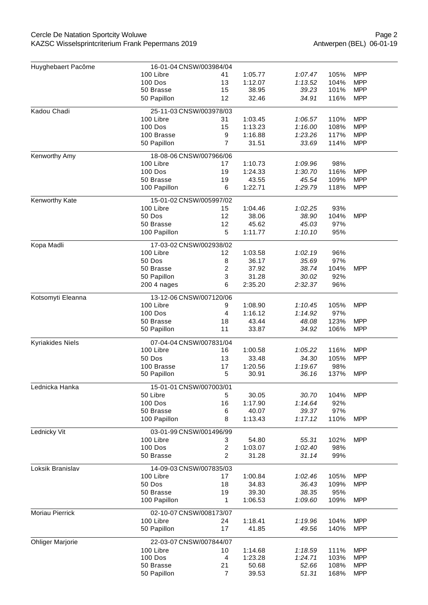## Cercle De Natation Sportcity Woluwe KAZSC Wisselsprintcriterium Frank Pepermans 2019

| Huyghebaert Pacôme      | 16-01-04 CNSW/003984/04              |                |                  |                  |             |            |  |
|-------------------------|--------------------------------------|----------------|------------------|------------------|-------------|------------|--|
|                         | 100 Libre                            | 41             | 1:05.77          | 1:07.47          | 105%        | <b>MPP</b> |  |
|                         | <b>100 Dos</b>                       | 13             | 1:12.07          | 1:13.52          | 104%        | <b>MPP</b> |  |
|                         | 50 Brasse                            | 15             | 38.95            | 39.23            | 101%        | <b>MPP</b> |  |
|                         | 50 Papillon                          | 12             | 32.46            | 34.91            | 116%        | <b>MPP</b> |  |
| Kadou Chadi             | 25-11-03 CNSW/003978/03              |                |                  |                  |             |            |  |
|                         | 100 Libre                            | 31             | 1:03.45          | 1:06.57          | 110%        | <b>MPP</b> |  |
|                         | <b>100 Dos</b>                       | 15             | 1:13.23          | 1:16.00          | 108%        | <b>MPP</b> |  |
|                         | 100 Brasse                           | 9              | 1:16.88          | 1:23.26          | 117%        | <b>MPP</b> |  |
|                         | 50 Papillon                          | $\overline{7}$ | 31.51            | 33.69            | 114%        | <b>MPP</b> |  |
| Kenworthy Amy           | 18-08-06 CNSW/007966/06              |                |                  |                  |             |            |  |
|                         | 100 Libre                            | 17             | 1:10.73          | 1:09.96          | 98%         |            |  |
|                         | <b>100 Dos</b>                       | 19             | 1:24.33          | 1:30.70          | 116%        | <b>MPP</b> |  |
|                         | 50 Brasse                            | 19             | 43.55            | 45.54            | 109%        | <b>MPP</b> |  |
|                         | 100 Papillon                         | 6              | 1:22.71          | 1:29.79          | 118%        | <b>MPP</b> |  |
|                         |                                      |                |                  |                  |             |            |  |
| Kenworthy Kate          | 15-01-02 CNSW/005997/02              |                |                  |                  |             |            |  |
|                         | 100 Libre                            | 15             | 1:04.46          | 1:02.25          | 93%         |            |  |
|                         | 50 Dos                               | 12             | 38.06            | 38.90            | 104%        | <b>MPP</b> |  |
|                         | 50 Brasse                            | 12             | 45.62            | 45.03            | 97%         |            |  |
|                         | 100 Papillon                         | 5              | 1:11.77          | 1:10.10          | 95%         |            |  |
| Kopa Madli              | 17-03-02 CNSW/002938/02              |                |                  |                  |             |            |  |
|                         | 100 Libre                            | 12             | 1:03.58          | 1:02.19          | 96%         |            |  |
|                         | 50 Dos                               | 8              | 36.17            | 35.69            | 97%         |            |  |
|                         | 50 Brasse                            | 2              | 37.92            | 38.74            | 104%        | <b>MPP</b> |  |
|                         | 50 Papillon                          | 3              | 31.28            | 30.02            | 92%         |            |  |
|                         | 200 4 nages                          | 6              | 2:35.20          | 2:32.37          | 96%         |            |  |
| Kotsomyti Eleanna       | 13-12-06 CNSW/007120/06              |                |                  |                  |             |            |  |
|                         | 100 Libre                            | 9              | 1:08.90          | 1:10.45          |             | <b>MPP</b> |  |
|                         |                                      |                |                  |                  | 105%        |            |  |
|                         | <b>100 Dos</b><br>50 Brasse          | 4<br>18        | 1:16.12<br>43.44 | 1:14.92<br>48.08 | 97%<br>123% | <b>MPP</b> |  |
|                         | 50 Papillon                          | 11             | 33.87            | 34.92            | 106%        | <b>MPP</b> |  |
|                         |                                      |                |                  |                  |             |            |  |
| <b>Kyriakides Niels</b> | 07-04-04 CNSW/007831/04              |                |                  |                  |             |            |  |
|                         | 100 Libre                            | 16             | 1:00.58          | 1:05.22          | 116%        | <b>MPP</b> |  |
|                         | 50 Dos                               | 13             | 33.48            | 34.30            | 105%        | <b>MPP</b> |  |
|                         | 100 Brasse                           | 17             | 1:20.56          | 1:19.67          | 98%         |            |  |
|                         | 50 Papillon                          | 5              | 30.91            | 36.16            | 137%        | <b>MPP</b> |  |
| Lednicka Hanka          | 15-01-01 CNSW/007003/01              |                |                  |                  |             |            |  |
|                         | 50 Libre                             | 5              | 30.05            | 30.70            | 104%        | <b>MPP</b> |  |
|                         | 100 Dos                              | 16             | 1:17.90          | 1:14.64          | 92%         |            |  |
|                         | 50 Brasse                            | 6              | 40.07            | 39.37            | 97%         |            |  |
|                         | 100 Papillon                         | 8              | 1:13.43          | 1:17.12          | 110%        | <b>MPP</b> |  |
| Lednicky Vit            | 03-01-99 CNSW/001496/99              |                |                  |                  |             |            |  |
|                         | 100 Libre                            | 3              | 54.80            | 55.31            | 102%        | <b>MPP</b> |  |
|                         | 100 Dos                              | $\overline{c}$ | 1:03.07          | 1:02.40          | 98%         |            |  |
|                         | 50 Brasse                            | 2              | 31.28            | 31.14            | 99%         |            |  |
|                         |                                      |                |                  |                  |             |            |  |
| Loksik Branislav        | 14-09-03 CNSW/007835/03<br>100 Libre | 17             | 1:00.84          | 1:02.46          | 105%        | <b>MPP</b> |  |
|                         | 50 Dos                               | 18             | 34.83            | 36.43            | 109%        | <b>MPP</b> |  |
|                         |                                      |                |                  |                  |             |            |  |
|                         | 50 Brasse                            | 19             | 39.30<br>1:06.53 | 38.35<br>1:09.60 | 95%<br>109% | <b>MPP</b> |  |
|                         | 100 Papillon                         | 1              |                  |                  |             |            |  |
| Moriau Pierrick         | 02-10-07 CNSW/008173/07              |                |                  |                  |             |            |  |
|                         | 100 Libre                            | 24             | 1:18.41          | 1:19.96          | 104%        | <b>MPP</b> |  |
|                         | 50 Papillon                          | 17             | 41.85            | 49.56            | 140%        | <b>MPP</b> |  |
| <b>Ohliger Marjorie</b> | 22-03-07 CNSW/007844/07              |                |                  |                  |             |            |  |
|                         | 100 Libre                            | 10             | 1:14.68          | 1:18.59          | 111%        | <b>MPP</b> |  |
|                         | 100 Dos                              | 4              | 1:23.28          | 1:24.71          | 103%        | <b>MPP</b> |  |
|                         | 50 Brasse                            | 21             | 50.68            | 52.66            | 108%        | <b>MPP</b> |  |
|                         | 50 Papillon                          | $\overline{7}$ | 39.53            | 51.31            | 168%        | <b>MPP</b> |  |